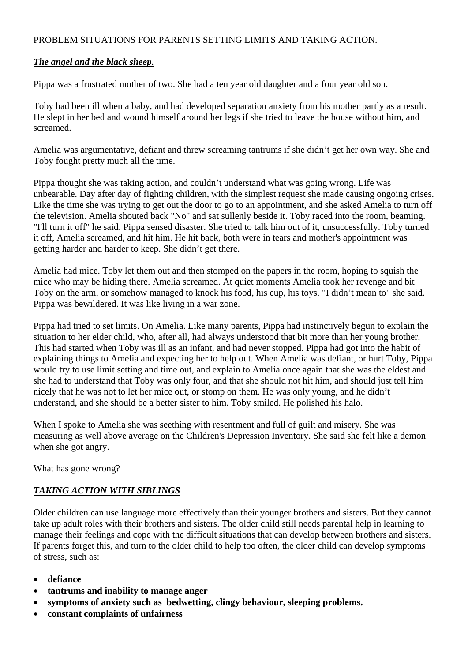## PROBLEM SITUATIONS FOR PARENTS SETTING LIMITS AND TAKING ACTION.

## *The angel and the black sheep.*

Pippa was a frustrated mother of two. She had a ten year old daughter and a four year old son.

Toby had been ill when a baby, and had developed separation anxiety from his mother partly as a result. He slept in her bed and wound himself around her legs if she tried to leave the house without him, and screamed.

Amelia was argumentative, defiant and threw screaming tantrums if she didn't get her own way. She and Toby fought pretty much all the time.

Pippa thought she was taking action, and couldn't understand what was going wrong. Life was unbearable. Day after day of fighting children, with the simplest request she made causing ongoing crises. Like the time she was trying to get out the door to go to an appointment, and she asked Amelia to turn off the television. Amelia shouted back "No" and sat sullenly beside it. Toby raced into the room, beaming. "I'll turn it off" he said. Pippa sensed disaster. She tried to talk him out of it, unsuccessfully. Toby turned it off, Amelia screamed, and hit him. He hit back, both were in tears and mother's appointment was getting harder and harder to keep. She didn't get there.

Amelia had mice. Toby let them out and then stomped on the papers in the room, hoping to squish the mice who may be hiding there. Amelia screamed. At quiet moments Amelia took her revenge and bit Toby on the arm, or somehow managed to knock his food, his cup, his toys. "I didn't mean to" she said. Pippa was bewildered. It was like living in a war zone.

Pippa had tried to set limits. On Amelia. Like many parents, Pippa had instinctively begun to explain the situation to her elder child, who, after all, had always understood that bit more than her young brother. This had started when Toby was ill as an infant, and had never stopped. Pippa had got into the habit of explaining things to Amelia and expecting her to help out. When Amelia was defiant, or hurt Toby, Pippa would try to use limit setting and time out, and explain to Amelia once again that she was the eldest and she had to understand that Toby was only four, and that she should not hit him, and should just tell him nicely that he was not to let her mice out, or stomp on them. He was only young, and he didn't understand, and she should be a better sister to him. Toby smiled. He polished his halo.

When I spoke to Amelia she was seething with resentment and full of guilt and misery. She was measuring as well above average on the Children's Depression Inventory. She said she felt like a demon when she got angry.

What has gone wrong?

## *TAKING ACTION WITH SIBLINGS*

Older children can use language more effectively than their younger brothers and sisters. But they cannot take up adult roles with their brothers and sisters. The older child still needs parental help in learning to manage their feelings and cope with the difficult situations that can develop between brothers and sisters. If parents forget this, and turn to the older child to help too often, the older child can develop symptoms of stress, such as:

- **defiance**
- **tantrums and inability to manage anger**
- **symptoms of anxiety such as bedwetting, clingy behaviour, sleeping problems.**
- **constant complaints of unfairness**